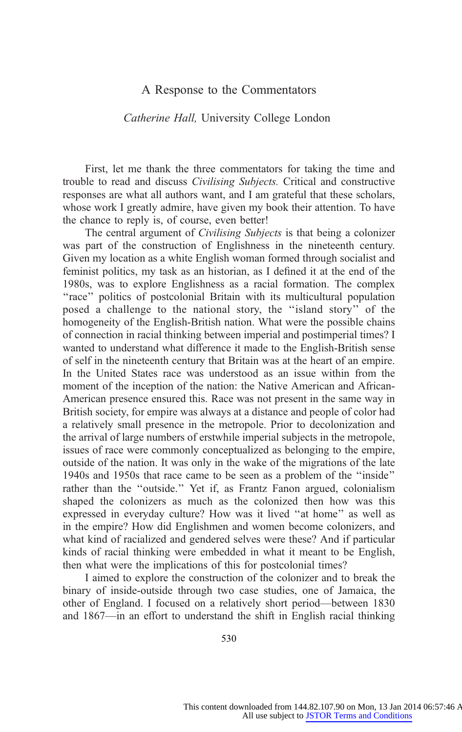# A Response to the Commentators

# Catherine Hall, University College London

First, let me thank the three commentators for taking the time and trouble to read and discuss Civilising Subjects. Critical and constructive responses are what all authors want, and I am grateful that these scholars, whose work I greatly admire, have given my book their attention. To have the chance to reply is, of course, even better!

The central argument of *Civilising Subjects* is that being a colonizer was part of the construction of Englishness in the nineteenth century. Given my location as a white English woman formed through socialist and feminist politics, my task as an historian, as I defined it at the end of the 1980s, was to explore Englishness as a racial formation. The complex "race" politics of postcolonial Britain with its multicultural population posed a challenge to the national story, the ''island story'' of the homogeneity of the English-British nation. What were the possible chains of connection in racial thinking between imperial and postimperial times? I wanted to understand what difference it made to the English-British sense of self in the nineteenth century that Britain was at the heart of an empire. In the United States race was understood as an issue within from the moment of the inception of the nation: the Native American and African-American presence ensured this. Race was not present in the same way in British society, for empire was always at a distance and people of color had a relatively small presence in the metropole. Prior to decolonization and the arrival of large numbers of erstwhile imperial subjects in the metropole, issues of race were commonly conceptualized as belonging to the empire, outside of the nation. It was only in the wake of the migrations of the late 1940s and 1950s that race came to be seen as a problem of the ''inside'' rather than the ''outside.'' Yet if, as Frantz Fanon argued, colonialism shaped the colonizers as much as the colonized then how was this expressed in everyday culture? How was it lived ''at home'' as well as in the empire? How did Englishmen and women become colonizers, and what kind of racialized and gendered selves were these? And if particular kinds of racial thinking were embedded in what it [meant to be English,](http://www.jstor.org/page/info/about/policies/terms.jsp) then what were the implications of this for postcolonial times?

I aimed to explore the construction of the colonizer and to break the binary of inside-outside through two case studies, one of Jamaica, the other of England. I focused on a relatively short period—between 1830 and 1867—in an effort to understand the shift in English racial thinking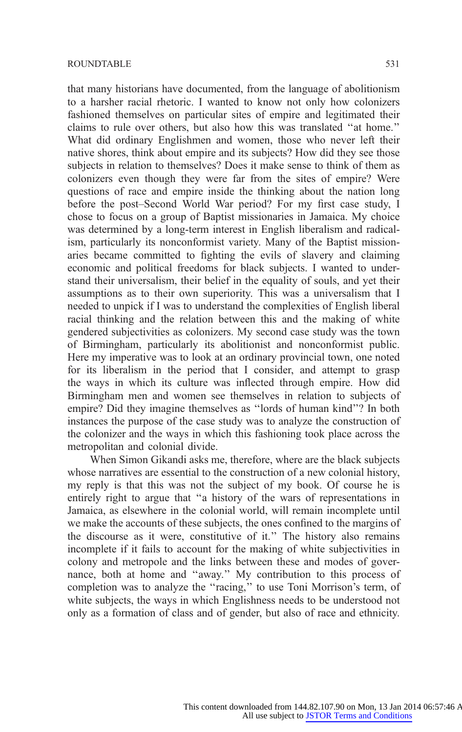that many historians have documented, from the language of abolitionism to a harsher racial rhetoric. I wanted to know not only how colonizers fashioned themselves on particular sites of empire and legitimated their claims to rule over others, but also how this was translated ''at home.'' What did ordinary Englishmen and women, those who never left their native shores, think about empire and its subjects? How did they see those subjects in relation to themselves? Does it make sense to think of them as colonizers even though they were far from the sites of empire? Were questions of race and empire inside the thinking about the nation long before the post–Second World War period? For my first case study, I chose to focus on a group of Baptist missionaries in Jamaica. My choice was determined by a long-term interest in English liberalism and radicalism, particularly its nonconformist variety. Many of the Baptist missionaries became committed to fighting the evils of slavery and claiming economic and political freedoms for black subjects. I wanted to understand their universalism, their belief in the equality of souls, and yet their assumptions as to their own superiority. This was a universalism that I needed to unpick if I was to understand the complexities of English liberal racial thinking and the relation between this and the making of white gendered subjectivities as colonizers. My second case study was the town of Birmingham, particularly its abolitionist and nonconformist public. Here my imperative was to look at an ordinary provincial town, one noted for its liberalism in the period that I consider, and attempt to grasp the ways in which its culture was inflected through empire. How did Birmingham men and women see themselves in relation to subjects of empire? Did they imagine themselves as ''lords of human kind''? In both instances the purpose of the case study was to analyze the construction of the colonizer and the ways in which this fashioning took place across the metropolitan and colonial divide.

When Simon Gikandi asks me, therefore, where are the black subjects whose narratives are essential to the construction of a new colonial history, my reply is that this was not the subject of my book. Of course he is entirely right to argue that ''a history of the wars of representations in Jamaica, as elsewhere in the colonial world, will remain incomplete until we make the accounts of these subjects, the ones confined to the margins of the discourse as it were, constitutive of it.'' The history also remains incomplete if it fails to account for the making of white subjectivities in colony and metropole and the links between these [and modes of gover](http://www.jstor.org/page/info/about/policies/terms.jsp)nance, both at home and ''away.'' My contribution to this process of completion was to analyze the ''racing,'' to use Toni Morrison's term, of white subjects, the ways in which Englishness needs to be understood not only as a formation of class and of gender, but also of race and ethnicity.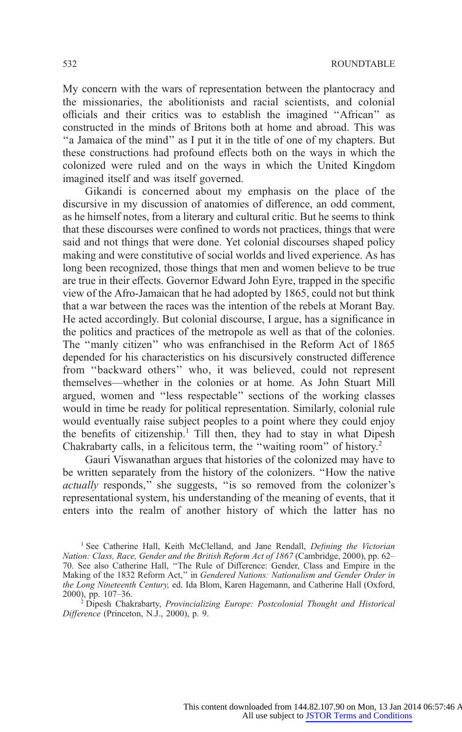My concern with the wars of representation between the plantocracy and the missionaries, the abolitionists and racial scientists, and colonial officials and their critics was to establish the imagined ''African'' as constructed in the minds of Britons both at home and abroad. This was ''a Jamaica of the mind'' as I put it in the title of one of my chapters. But these constructions had profound effects both on the ways in which the colonized were ruled and on the ways in which the United Kingdom imagined itself and was itself governed.

Gikandi is concerned about my emphasis on the place of the discursive in my discussion of anatomies of difference, an odd comment, as he himself notes, from a literary and cultural critic. But he seems to think that these discourses were confined to words not practices, things that were said and not things that were done. Yet colonial discourses shaped policy making and were constitutive of social worlds and lived experience. As has long been recognized, those things that men and women believe to be true are true in their effects. Governor Edward John Eyre, trapped in the specific view of the Afro-Jamaican that he had adopted by 1865, could not but think that a war between the races was the intention of the rebels at Morant Bay. He acted accordingly. But colonial discourse, I argue, has a significance in the politics and practices of the metropole as well as that of the colonies. The ''manly citizen'' who was enfranchised in the Reform Act of 1865 depended for his characteristics on his discursively constructed difference from ''backward others'' who, it was believed, could not represent themselves—whether in the colonies or at home. As John Stuart Mill argued, women and ''less respectable'' sections of the working classes would in time be ready for political representation. Similarly, colonial rule would eventually raise subject peoples to a point where they could enjoy the benefits of citizenship.<sup>1</sup> Till then, they had to stay in what Dipesh Chakrabarty calls, in a felicitous term, the ''waiting room'' of history.<sup>2</sup>

Gauri Viswanathan argues that histories of the colonized may have to be written separately from the history of the colonizers. ''How the native actually responds,'' she suggests, ''is so removed from the colonizer's representational system, his understanding of the meaning of events, that it enters into the realm of another history of which the latter has no

<sup>&</sup>lt;sup>1</sup> See Catherine Hall, Keith McClelland, and Jane Rendall, Defining the Victorian Nation: Class, Race, Gender and the British Reform Act of 1867 (C[ambridge, 2000\), pp. 62–](http://www.jstor.org/page/info/about/policies/terms.jsp) 70. See also Catherine Hall, ''The Rule of Difference: Gender, Class and Empire in the Making of the 1832 Reform Act,'' in Gendered Nations: Nationalism and Gender Order in the Long Nineteenth Century, ed. Ida Blom, Karen Hagemann, and Catherine Hall (Oxford, 2000), pp. 107-36.

<sup>&</sup>lt;sup>2</sup> Dipesh Chakrabarty, Provincializing Europe: Postcolonial Thought and Historical Difference (Princeton, N.J., 2000), p. 9.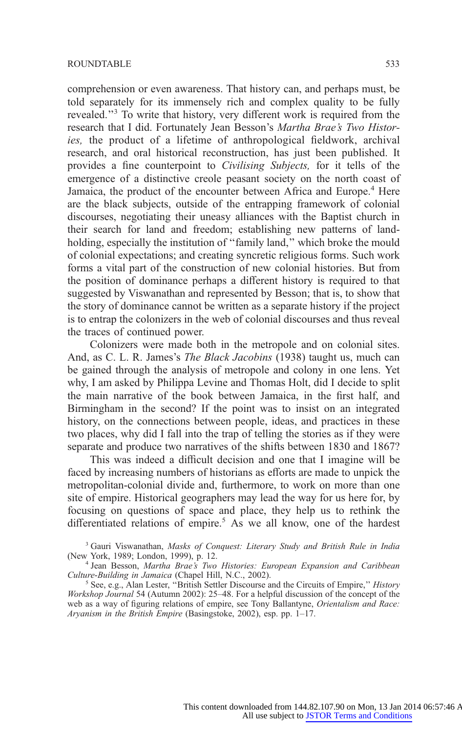comprehension or even awareness. That history can, and perhaps must, be told separately for its immensely rich and complex quality to be fully revealed.''3 To write that history, very different work is required from the research that I did. Fortunately Jean Besson's Martha Brae's Two Histories, the product of a lifetime of anthropological fieldwork, archival research, and oral historical reconstruction, has just been published. It provides a fine counterpoint to Civilising Subjects, for it tells of the emergence of a distinctive creole peasant society on the north coast of Jamaica, the product of the encounter between Africa and Europe.<sup>4</sup> Here are the black subjects, outside of the entrapping framework of colonial discourses, negotiating their uneasy alliances with the Baptist church in their search for land and freedom; establishing new patterns of landholding, especially the institution of "family land," which broke the mould of colonial expectations; and creating syncretic religious forms. Such work forms a vital part of the construction of new colonial histories. But from the position of dominance perhaps a different history is required to that suggested by Viswanathan and represented by Besson; that is, to show that the story of dominance cannot be written as a separate history if the project is to entrap the colonizers in the web of colonial discourses and thus reveal the traces of continued power.

Colonizers were made both in the metropole and on colonial sites. And, as C. L. R. James's The Black Jacobins (1938) taught us, much can be gained through the analysis of metropole and colony in one lens. Yet why, I am asked by Philippa Levine and Thomas Holt, did I decide to split the main narrative of the book between Jamaica, in the first half, and Birmingham in the second? If the point was to insist on an integrated history, on the connections between people, ideas, and practices in these two places, why did I fall into the trap of telling the stories as if they were separate and produce two narratives of the shifts between 1830 and 1867?

This was indeed a difficult decision and one that I imagine will be faced by increasing numbers of historians as efforts are made to unpick the metropolitan-colonial divide and, furthermore, to work on more than one site of empire. Historical geographers may lead the way for us here for, by focusing on questions of space and place, they help us to rethink the differentiated relations of empire.<sup>5</sup> As we all know, one of the hardest

 $3$  Gauri Viswanathan, *Masks of Conquest: Literary Study and British Rule in India* (New York, 1989; London, 1999), p. 12.

<sup>&</sup>lt;sup>4</sup> Jean Besson, *Martha Brae's Two Histories: European [Expansion](http://www.jstor.org/page/info/about/policies/terms.jsp) [and](http://www.jstor.org/page/info/about/policies/terms.jsp) [Caribbean](http://www.jstor.org/page/info/about/policies/terms.jsp) Culture-Building in Jamaica (Chapel Hill, N.C., 2002).* 

See, e.g., Alan Lester, "British Settler Discourse and the Circuits of Empire," History Workshop Journal 54 (Autumn 2002): 25–48. For a helpful discussion of the concept of the web as a way of figuring relations of empire, see Tony Ballantyne, Orientalism and Race: Aryanism in the British Empire (Basingstoke, 2002), esp. pp. 1–17.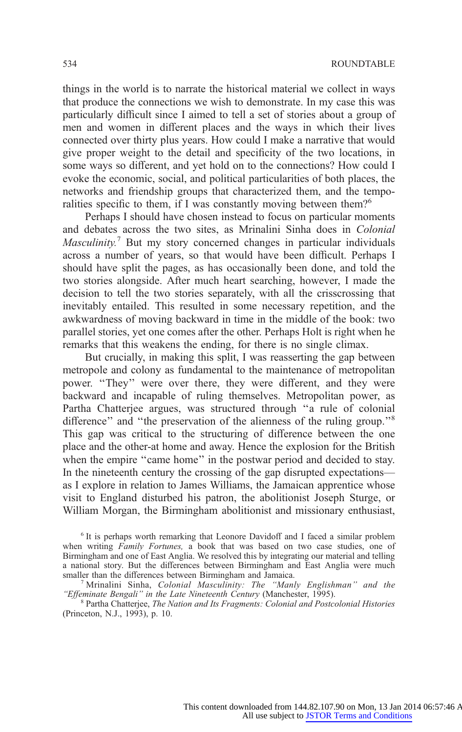things in the world is to narrate the historical material we collect in ways that produce the connections we wish to demonstrate. In my case this was particularly difficult since I aimed to tell a set of stories about a group of men and women in different places and the ways in which their lives connected over thirty plus years. How could I make a narrative that would give proper weight to the detail and specificity of the two locations, in some ways so different, and yet hold on to the connections? How could I evoke the economic, social, and political particularities of both places, the networks and friendship groups that characterized them, and the temporalities specific to them, if I was constantly moving between them?<sup>6</sup>

Perhaps I should have chosen instead to focus on particular moments and debates across the two sites, as Mrinalini Sinha does in Colonial  $Masculinity$ <sup>7</sup> But my story concerned changes in particular individuals across a number of years, so that would have been difficult. Perhaps I should have split the pages, as has occasionally been done, and told the two stories alongside. After much heart searching, however, I made the decision to tell the two stories separately, with all the crisscrossing that inevitably entailed. This resulted in some necessary repetition, and the awkwardness of moving backward in time in the middle of the book: two parallel stories, yet one comes after the other. Perhaps Holt is right when he remarks that this weakens the ending, for there is no single climax.

But crucially, in making this split, I was reasserting the gap between metropole and colony as fundamental to the maintenance of metropolitan power. ''They'' were over there, they were different, and they were backward and incapable of ruling themselves. Metropolitan power, as Partha Chatterjee argues, was structured through ''a rule of colonial difference" and "the preservation of the alienness of the ruling group."<sup>8</sup> This gap was critical to the structuring of difference between the one place and the other-at home and away. Hence the explosion for the British when the empire "came home" in the postwar period and decided to stay. In the nineteenth century the crossing of the gap disrupted expectations as I explore in relation to James Williams, the Jamaican apprentice whose visit to England disturbed his patron, the abolitionist Joseph Sturge, or William Morgan, the Birmingham abolitionist and missionary enthusiast,

<sup>6</sup> It is perhaps worth remarking that Leonore Davidoff and I faced a similar problem when writing *Family Fortunes*, a book that was based on two case studies, one of Birmingham and one of East Anglia. We resolved this by integratin[g our material and telling](http://www.jstor.org/page/info/about/policies/terms.jsp) a national story. But the differences between Birmingham and East Anglia were much

<sup>&</sup>lt;sup>7</sup> Mrinalini Sinha, Colonial Masculinity: The "Manly Englishman" and the "Effeminate Bengali" in the Late Nineteenth Century (Manchester, 1995).

<sup>&</sup>lt;sup>8</sup> Partha Chatterjee, The Nation and Its Fragments: Colonial and Postcolonial Histories (Princeton, N.J., 1993), p. 10.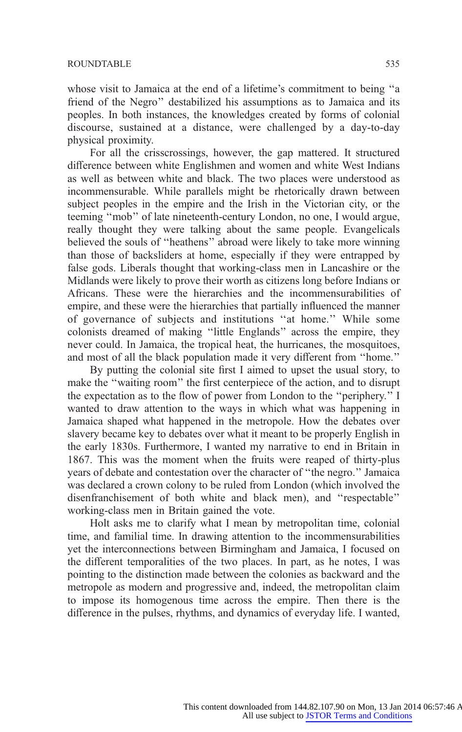whose visit to Jamaica at the end of a lifetime's commitment to being ''a friend of the Negro'' destabilized his assumptions as to Jamaica and its peoples. In both instances, the knowledges created by forms of colonial discourse, sustained at a distance, were challenged by a day-to-day physical proximity.

For all the crisscrossings, however, the gap mattered. It structured difference between white Englishmen and women and white West Indians as well as between white and black. The two places were understood as incommensurable. While parallels might be rhetorically drawn between subject peoples in the empire and the Irish in the Victorian city, or the teeming ''mob'' of late nineteenth-century London, no one, I would argue, really thought they were talking about the same people. Evangelicals believed the souls of ''heathens'' abroad were likely to take more winning than those of backsliders at home, especially if they were entrapped by false gods. Liberals thought that working-class men in Lancashire or the Midlands were likely to prove their worth as citizens long before Indians or Africans. These were the hierarchies and the incommensurabilities of empire, and these were the hierarchies that partially influenced the manner of governance of subjects and institutions ''at home.'' While some colonists dreamed of making ''little Englands'' across the empire, they never could. In Jamaica, the tropical heat, the hurricanes, the mosquitoes, and most of all the black population made it very different from ''home.''

By putting the colonial site first I aimed to upset the usual story, to make the ''waiting room'' the first centerpiece of the action, and to disrupt the expectation as to the flow of power from London to the ''periphery.'' I wanted to draw attention to the ways in which what was happening in Jamaica shaped what happened in the metropole. How the debates over slavery became key to debates over what it meant to be properly English in the early 1830s. Furthermore, I wanted my narrative to end in Britain in 1867. This was the moment when the fruits were reaped of thirty-plus years of debate and contestation over the character of ''the negro.'' Jamaica was declared a crown colony to be ruled from London (which involved the disenfranchisement of both white and black men), and ''respectable'' working-class men in Britain gained the vote.

Holt asks me to clarify what I mean by metropolitan time, colonial time, and familial time. In drawing attention to the incommensurabilities yet the interconnections between Birmingham and Jamaica, I focused on the different temporalities of the two places. In par[t, as he notes, I was](http://www.jstor.org/page/info/about/policies/terms.jsp) pointing to the distinction made between the colonies as backward and the metropole as modern and progressive and, indeed, the metropolitan claim to impose its homogenous time across the empire. Then there is the difference in the pulses, rhythms, and dynamics of everyday life. I wanted,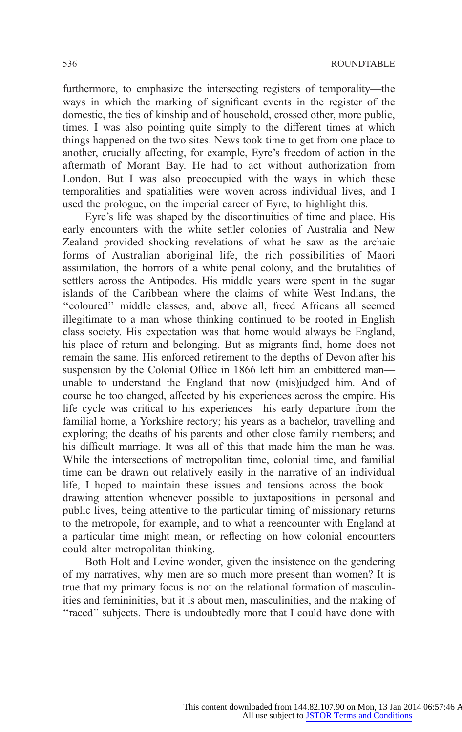furthermore, to emphasize the intersecting registers of temporality—the ways in which the marking of significant events in the register of the domestic, the ties of kinship and of household, crossed other, more public, times. I was also pointing quite simply to the different times at which things happened on the two sites. News took time to get from one place to another, crucially affecting, for example, Eyre's freedom of action in the aftermath of Morant Bay. He had to act without authorization from London. But I was also preoccupied with the ways in which these temporalities and spatialities were woven across individual lives, and I used the prologue, on the imperial career of Eyre, to highlight this.

Eyre's life was shaped by the discontinuities of time and place. His early encounters with the white settler colonies of Australia and New Zealand provided shocking revelations of what he saw as the archaic forms of Australian aboriginal life, the rich possibilities of Maori assimilation, the horrors of a white penal colony, and the brutalities of settlers across the Antipodes. His middle years were spent in the sugar islands of the Caribbean where the claims of white West Indians, the ''coloured'' middle classes, and, above all, freed Africans all seemed illegitimate to a man whose thinking continued to be rooted in English class society. His expectation was that home would always be England, his place of return and belonging. But as migrants find, home does not remain the same. His enforced retirement to the depths of Devon after his suspension by the Colonial Office in 1866 left him an embittered man unable to understand the England that now (mis)judged him. And of course he too changed, affected by his experiences across the empire. His life cycle was critical to his experiences—his early departure from the familial home, a Yorkshire rectory; his years as a bachelor, travelling and exploring; the deaths of his parents and other close family members; and his difficult marriage. It was all of this that made him the man he was. While the intersections of metropolitan time, colonial time, and familial time can be drawn out relatively easily in the narrative of an individual life, I hoped to maintain these issues and tensions across the book drawing attention whenever possible to juxtapositions in personal and public lives, being attentive to the particular timing of missionary returns to the metropole, for example, and to what a reencounter with England at a particular time might mean, or reflecting on how colonial encounters could alter metropolitan thinking.

Both Holt and Levine wonder, given the insisten[ce on the gendering](http://www.jstor.org/page/info/about/policies/terms.jsp) of my narratives, why men are so much more present than women? It is true that my primary focus is not on the relational formation of masculinities and femininities, but it is about men, masculinities, and the making of "raced" subjects. There is undoubtedly more that I could have done with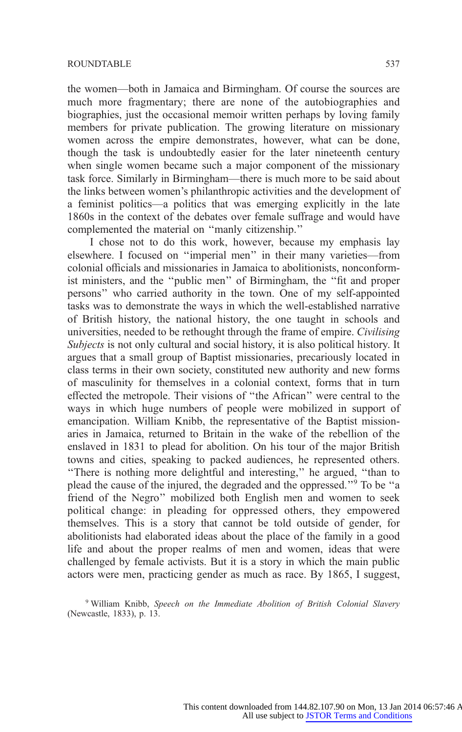the women—both in Jamaica and Birmingham. Of course the sources are much more fragmentary; there are none of the autobiographies and biographies, just the occasional memoir written perhaps by loving family members for private publication. The growing literature on missionary women across the empire demonstrates, however, what can be done, though the task is undoubtedly easier for the later nineteenth century when single women became such a major component of the missionary task force. Similarly in Birmingham—there is much more to be said about the links between women's philanthropic activities and the development of a feminist politics—a politics that was emerging explicitly in the late 1860s in the context of the debates over female suffrage and would have complemented the material on ''manly citizenship.''

I chose not to do this work, however, because my emphasis lay elsewhere. I focused on ''imperial men'' in their many varieties—from colonial officials and missionaries in Jamaica to abolitionists, nonconformist ministers, and the ''public men'' of Birmingham, the ''fit and proper persons'' who carried authority in the town. One of my self-appointed tasks was to demonstrate the ways in which the well-established narrative of British history, the national history, the one taught in schools and universities, needed to be rethought through the frame of empire. Civilising Subjects is not only cultural and social history, it is also political history. It argues that a small group of Baptist missionaries, precariously located in class terms in their own society, constituted new authority and new forms of masculinity for themselves in a colonial context, forms that in turn effected the metropole. Their visions of ''the African'' were central to the ways in which huge numbers of people were mobilized in support of emancipation. William Knibb, the representative of the Baptist missionaries in Jamaica, returned to Britain in the wake of the rebellion of the enslaved in 1831 to plead for abolition. On his tour of the major British towns and cities, speaking to packed audiences, he represented others. ''There is nothing more delightful and interesting,'' he argued, ''than to plead the cause of the injured, the degraded and the oppressed.''9 To be ''a friend of the Negro'' mobilized both English men and women to seek political change: in pleading for oppressed others, they empowered themselves. This is a story that cannot be told outside of gender, for abolitionists had elaborated ideas about the place of the family in a good life and about the proper realms of men and women, ideas that were challenged by female activists. But it is a story in [which the main public](http://www.jstor.org/page/info/about/policies/terms.jsp) actors were men, practicing gender as much as race. By 1865, I suggest,

<sup>9</sup> William Knibb, Speech on the Immediate Abolition of British Colonial Slavery (Newcastle, 1833), p. 13.